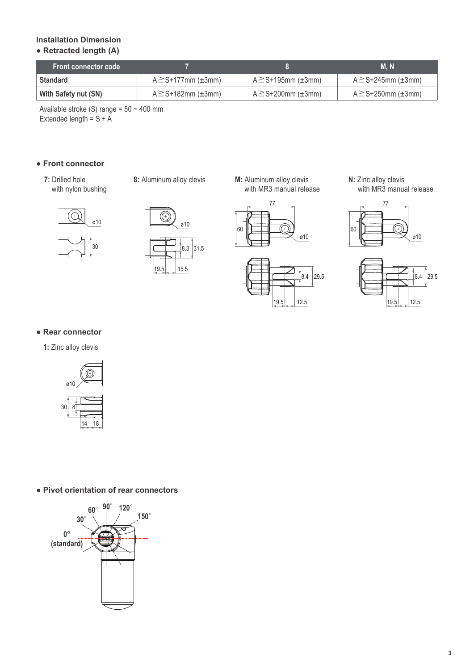## www.aktuator.ru 8 (499) 703-13-84 aktuator-mail@mail.ru

### **Installation Dimension**

### **● Retracted length (A)**

| <b>Front connector code</b> |                                   |                                   | M. N                       |
|-----------------------------|-----------------------------------|-----------------------------------|----------------------------|
| <b>Standard</b>             | $A \geq S+177$ mm ( $\pm 3$ mm)   | $A \geq S+195$ mm (±3mm)          | $A \geq S + 245$ mm (±3mm) |
| With Safety nut (SN)        | $A \geq S + 182$ mm ( $\pm 3$ mm) | $A \geq S + 200$ mm ( $\pm 3$ mm) | $A \geq S+250$ mm (±3mm)   |

Available stroke (S) range = 50 ~ 400 mm Extended length =  $S + A$ 

#### **● Front connector**

**7:** Drilled hole with nylon bushing **8:** Aluminum alloy clevis

**M:** Aluminum alloy clevis with MR3 manual release









**N:** Zinc alloy clevis with MR3 manual release



![](_page_2_Figure_16.jpeg)

#### **● Rear connector**

**1:** Zinc alloy clevis

![](_page_2_Picture_19.jpeg)

**● Pivot orientation of rear connectors**

![](_page_2_Figure_21.jpeg)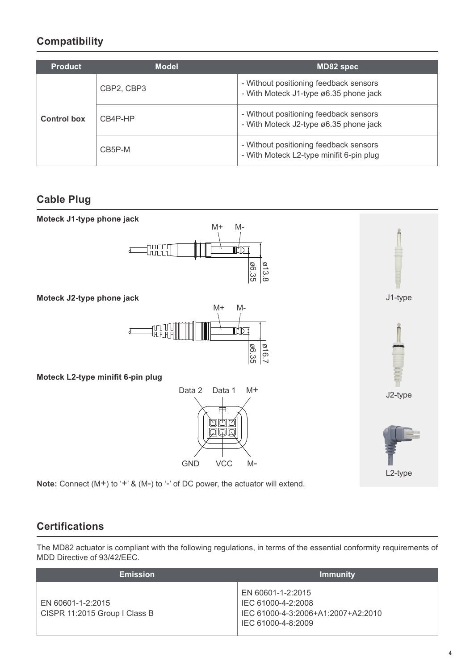## **Compatibility**

| <b>Product</b>     | <b>Model</b>   | MD82 spec                                                                   |  |  |  |
|--------------------|----------------|-----------------------------------------------------------------------------|--|--|--|
| <b>Control box</b> | 01XVO2, 01XVO3 | - Without positioning feedback sensors<br>- With J1-type ø6.35 phone jack   |  |  |  |
|                    | $01$ XV4O-GO   | - Without positioning feedback sensors<br>- With J2-type ø6.35 phone jack   |  |  |  |
|                    | 01XV5O-N       | - Without positioning feedback sensors<br>- With L2-type minifit 6-pin plug |  |  |  |

### **Cable Plug**

![](_page_3_Figure_5.jpeg)

Note: Connect (M+) to '+' & (M-) to '-' of DC power, the actuator will extend.

### **Certifications**

The 01NS82 actuator is compliant with the following regulations, in terms of the essential conformity requirements of MDD Directive of 93/42/EEC.

| <b>Emission</b>                                    | <b>Immunity</b>                                                                                     |  |  |  |
|----------------------------------------------------|-----------------------------------------------------------------------------------------------------|--|--|--|
| EN 60601-1-2:2015<br>CISPR 11:2015 Group I Class B | EN 60601-1-2:2015<br>IEC 61000-4-2:2008<br>IEC 61000-4-3:2006+A1:2007+A2:2010<br>IEC 61000-4-8:2009 |  |  |  |